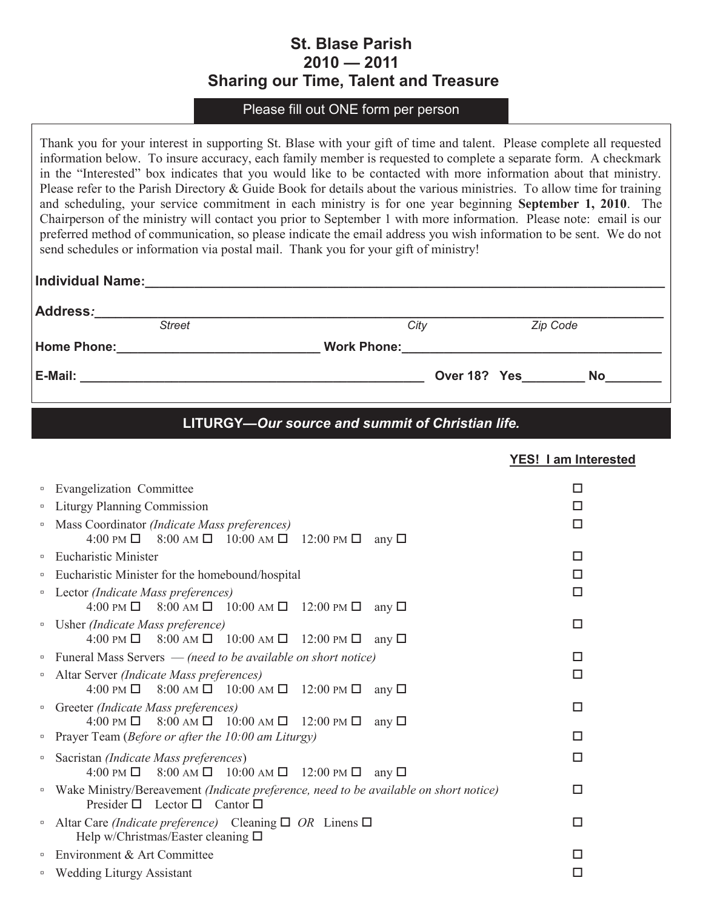## **St. Blase Parish 2010 — 2011 Sharing our Time, Talent and Treasure**

Please fill out ONE form per person

Thank you for your interest in supporting St. Blase with your gift of time and talent. Please complete all requested information below. To insure accuracy, each family member is requested to complete a separate form. A checkmark in the "Interested" box indicates that you would like to be contacted with more information about that ministry. Please refer to the Parish Directory & Guide Book for details about the various ministries. To allow time for training and scheduling, your service commitment in each ministry is for one year beginning **September 1, 2010**. The Chairperson of the ministry will contact you prior to September 1 with more information. Please note: email is our preferred method of communication, so please indicate the email address you wish information to be sent. We do not send schedules or information via postal mail. Thank you for your gift of ministry!

| Individual Name:<br><u> 1989 - Johann Harry Harry Harry Harry Harry Harry Harry Harry Harry Harry Harry Harry Harry Harry Harry Harry</u> |                                                                                                               |                 |  |  |
|-------------------------------------------------------------------------------------------------------------------------------------------|---------------------------------------------------------------------------------------------------------------|-----------------|--|--|
| Address:                                                                                                                                  |                                                                                                               |                 |  |  |
| <b>Street</b>                                                                                                                             | City                                                                                                          | <b>Zip Code</b> |  |  |
| Home Phone:<br><u> 1980 - Jan Stein Berlin, amerikan berlin besteht als der stadt av den besteht av den besteht av den besteht a</u>      | Work Phone: 2008 2010 2020 2021 2021 2022 2021 2022 2022 2022 2022 2022 2022 2022 2022 2022 2022 2022 2022 20 |                 |  |  |
|                                                                                                                                           |                                                                                                               |                 |  |  |
|                                                                                                                                           |                                                                                                               |                 |  |  |

## **LITURGY—***Our source and summit of Christian life.*

|        |                                                                                                                                                            | <b>YES! I am Interested</b> |
|--------|------------------------------------------------------------------------------------------------------------------------------------------------------------|-----------------------------|
| $\Box$ | Evangelization Committee                                                                                                                                   | □                           |
| $\Box$ | Liturgy Planning Commission                                                                                                                                | П                           |
| α      | Mass Coordinator (Indicate Mass preferences)<br>4:00 PM $\Box$ 8:00 AM $\Box$ 10:00 AM $\Box$ 12:00 PM $\Box$<br>any $\square$                             | □                           |
| $\Box$ | <b>Eucharistic Minister</b>                                                                                                                                | □                           |
| $\Box$ | Eucharistic Minister for the homebound/hospital                                                                                                            | □                           |
| $\Box$ | Lector (Indicate Mass preferences)<br>4:00 PM $\Box$ 8:00 AM $\Box$ 10:00 AM $\Box$ 12:00 PM $\Box$<br>any $\square$                                       | □                           |
|        | <sup>n</sup> Usher (Indicate Mass preference)<br>4:00 PM $\Box$ 8:00 AM $\Box$ 10:00 AM $\Box$ 12:00 PM $\Box$<br>any $\Box$                               | □                           |
|        | • Funeral Mass Servers — (need to be available on short notice)                                                                                            | □                           |
| $\Box$ | Altar Server (Indicate Mass preferences)<br>4:00 PM $\Box$ 8:00 AM $\Box$ 10:00 AM $\Box$ 12:00 PM $\Box$<br>any $\square$                                 | □                           |
|        | <sup>o</sup> Greeter (Indicate Mass preferences)<br>4:00 PM $\Box$ 8:00 AM $\Box$ 10:00 AM $\Box$ 12:00 PM $\Box$<br>any $\square$                         | □                           |
|        | • Prayer Team (Before or after the $10:00$ am Liturgy)                                                                                                     | □                           |
| $\Box$ | Sacristan (Indicate Mass preferences)<br>4:00 PM $\Box$ 8:00 AM $\Box$ 10:00 AM $\Box$ 12:00 PM $\Box$<br>any $\square$                                    | □                           |
|        | <sup>o</sup> Wake Ministry/Bereavement (Indicate preference, need to be available on short notice)<br>Presider $\square$ Lector $\square$ Cantor $\square$ | □                           |
| $\Box$ | Altar Care (Indicate preference) Cleaning $\Box$ OR Linens $\Box$<br>Help w/Christmas/Easter cleaning $\Box$                                               | п                           |
| $\Box$ | Environment & Art Committee                                                                                                                                | П                           |
| $\Box$ | <b>Wedding Liturgy Assistant</b>                                                                                                                           | □                           |